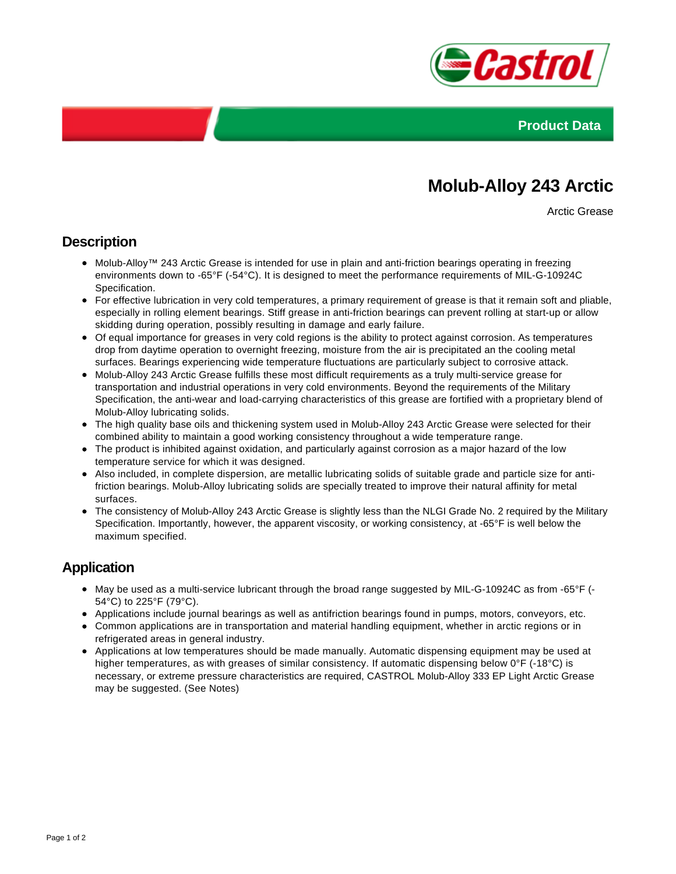



# **Molub-Alloy 243 Arctic**

Arctic Grease

#### **Description**

- Molub-Alloy™ 243 Arctic Grease is intended for use in plain and anti-friction bearings operating in freezing environments down to -65°F (-54°C). It is designed to meet the performance requirements of MIL-G-10924C Specification.
- For effective lubrication in very cold temperatures, a primary requirement of grease is that it remain soft and pliable, especially in rolling element bearings. Stiff grease in anti-friction bearings can prevent rolling at start-up or allow skidding during operation, possibly resulting in damage and early failure.
- Of equal importance for greases in very cold regions is the ability to protect against corrosion. As temperatures drop from daytime operation to overnight freezing, moisture from the air is precipitated an the cooling metal surfaces. Bearings experiencing wide temperature fluctuations are particularly subject to corrosive attack.
- Molub-Alloy 243 Arctic Grease fulfills these most difficult requirements as a truly multi-service grease for transportation and industrial operations in very cold environments. Beyond the requirements of the Military Specification, the anti-wear and load-carrying characteristics of this grease are fortified with a proprietary blend of Molub-Alloy lubricating solids.
- The high quality base oils and thickening system used in Molub-Alloy 243 Arctic Grease were selected for their combined ability to maintain a good working consistency throughout a wide temperature range.
- The product is inhibited against oxidation, and particularly against corrosion as a major hazard of the low temperature service for which it was designed.
- Also included, in complete dispersion, are metallic lubricating solids of suitable grade and particle size for antifriction bearings. Molub-Alloy lubricating solids are specially treated to improve their natural affinity for metal surfaces.
- The consistency of Molub-Alloy 243 Arctic Grease is slightly less than the NLGI Grade No. 2 required by the Military Specification. Importantly, however, the apparent viscosity, or working consistency, at -65°F is well below the maximum specified.

## **Application**

- May be used as a multi-service lubricant through the broad range suggested by MIL-G-10924C as from -65°F (- 54°C) to 225°F (79°C).
- Applications include journal bearings as well as antifriction bearings found in pumps, motors, conveyors, etc.
- Common applications are in transportation and material handling equipment, whether in arctic regions or in refrigerated areas in general industry.
- Applications at low temperatures should be made manually. Automatic dispensing equipment may be used at higher temperatures, as with greases of similar consistency. If automatic dispensing below 0°F (-18°C) is necessary, or extreme pressure characteristics are required, CASTROL Molub-Alloy 333 EP Light Arctic Grease may be suggested. (See Notes)